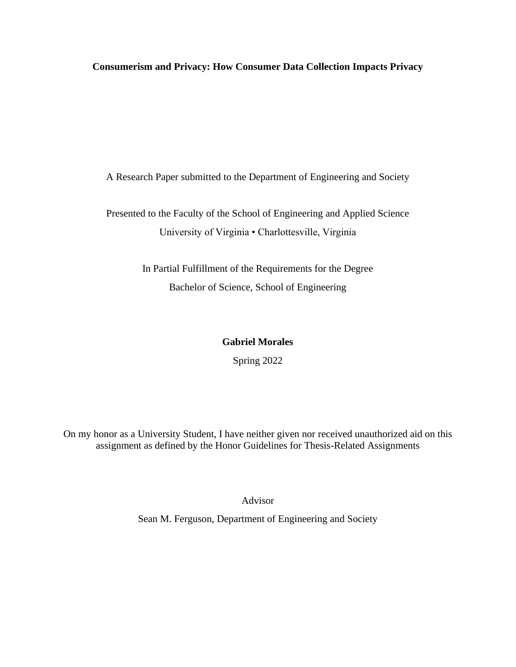**Consumerism and Privacy: How Consumer Data Collection Impacts Privacy**

A Research Paper submitted to the Department of Engineering and Society

Presented to the Faculty of the School of Engineering and Applied Science University of Virginia • Charlottesville, Virginia

> In Partial Fulfillment of the Requirements for the Degree Bachelor of Science, School of Engineering

# **Gabriel Morales**

Spring 2022

On my honor as a University Student, I have neither given nor received unauthorized aid on this assignment as defined by the Honor Guidelines for Thesis-Related Assignments

Advisor

Sean M. Ferguson, Department of Engineering and Society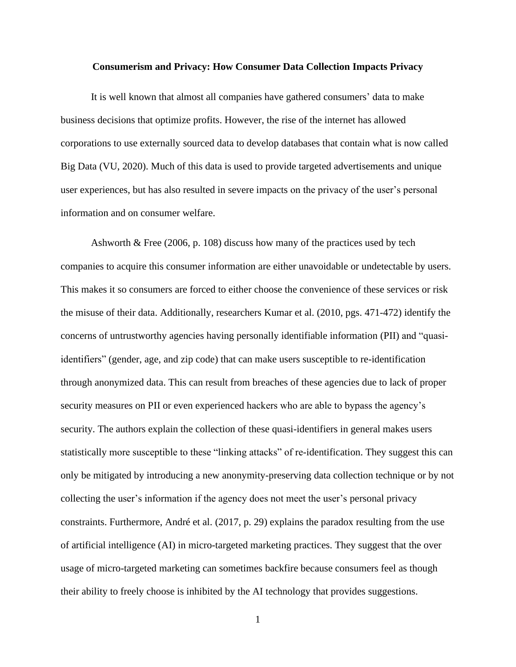### **Consumerism and Privacy: How Consumer Data Collection Impacts Privacy**

It is well known that almost all companies have gathered consumers' data to make business decisions that optimize profits. However, the rise of the internet has allowed corporations to use externally sourced data to develop databases that contain what is now called Big Data (VU, 2020). Much of this data is used to provide targeted advertisements and unique user experiences, but has also resulted in severe impacts on the privacy of the user's personal information and on consumer welfare.

Ashworth & Free (2006, p. 108) discuss how many of the practices used by tech companies to acquire this consumer information are either unavoidable or undetectable by users. This makes it so consumers are forced to either choose the convenience of these services or risk the misuse of their data. Additionally, researchers Kumar et al. (2010, pgs. 471-472) identify the concerns of untrustworthy agencies having personally identifiable information (PII) and "quasiidentifiers" (gender, age, and zip code) that can make users susceptible to re-identification through anonymized data. This can result from breaches of these agencies due to lack of proper security measures on PII or even experienced hackers who are able to bypass the agency's security. The authors explain the collection of these quasi-identifiers in general makes users statistically more susceptible to these "linking attacks" of re-identification. They suggest this can only be mitigated by introducing a new anonymity-preserving data collection technique or by not collecting the user's information if the agency does not meet the user's personal privacy constraints. Furthermore, André et al. (2017, p. 29) explains the paradox resulting from the use of artificial intelligence (AI) in micro-targeted marketing practices. They suggest that the over usage of micro-targeted marketing can sometimes backfire because consumers feel as though their ability to freely choose is inhibited by the AI technology that provides suggestions.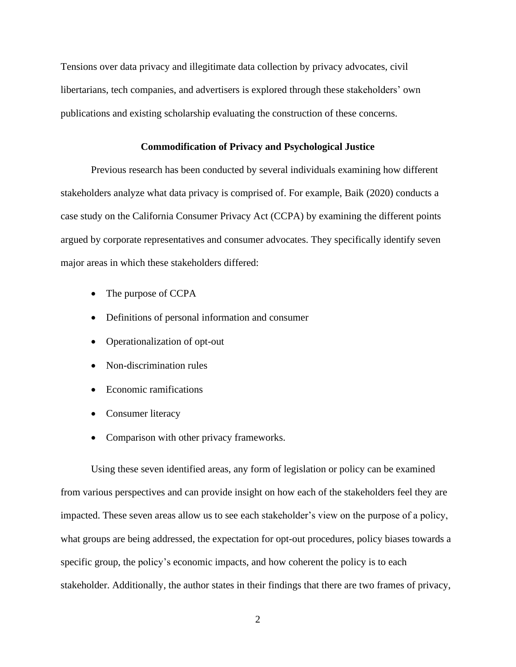Tensions over data privacy and illegitimate data collection by privacy advocates, civil libertarians, tech companies, and advertisers is explored through these stakeholders' own publications and existing scholarship evaluating the construction of these concerns.

## **Commodification of Privacy and Psychological Justice**

Previous research has been conducted by several individuals examining how different stakeholders analyze what data privacy is comprised of. For example, Baik (2020) conducts a case study on the California Consumer Privacy Act (CCPA) by examining the different points argued by corporate representatives and consumer advocates. They specifically identify seven major areas in which these stakeholders differed:

- The purpose of CCPA
- Definitions of personal information and consumer
- Operationalization of opt-out
- Non-discrimination rules
- Economic ramifications
- Consumer literacy
- Comparison with other privacy frameworks.

Using these seven identified areas, any form of legislation or policy can be examined from various perspectives and can provide insight on how each of the stakeholders feel they are impacted. These seven areas allow us to see each stakeholder's view on the purpose of a policy, what groups are being addressed, the expectation for opt-out procedures, policy biases towards a specific group, the policy's economic impacts, and how coherent the policy is to each stakeholder. Additionally, the author states in their findings that there are two frames of privacy,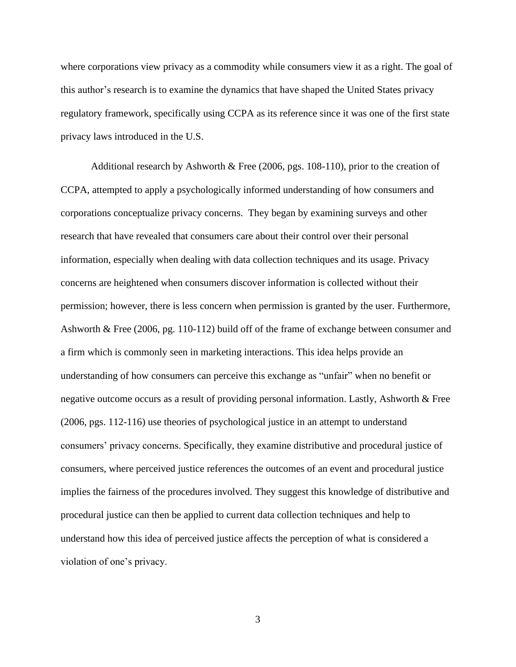where corporations view privacy as a commodity while consumers view it as a right. The goal of this author's research is to examine the dynamics that have shaped the United States privacy regulatory framework, specifically using CCPA as its reference since it was one of the first state privacy laws introduced in the U.S.

Additional research by Ashworth & Free (2006, pgs. 108-110), prior to the creation of CCPA, attempted to apply a psychologically informed understanding of how consumers and corporations conceptualize privacy concerns. They began by examining surveys and other research that have revealed that consumers care about their control over their personal information, especially when dealing with data collection techniques and its usage. Privacy concerns are heightened when consumers discover information is collected without their permission; however, there is less concern when permission is granted by the user. Furthermore, Ashworth & Free (2006, pg. 110-112) build off of the frame of exchange between consumer and a firm which is commonly seen in marketing interactions. This idea helps provide an understanding of how consumers can perceive this exchange as "unfair" when no benefit or negative outcome occurs as a result of providing personal information. Lastly, Ashworth & Free (2006, pgs. 112-116) use theories of psychological justice in an attempt to understand consumers' privacy concerns. Specifically, they examine distributive and procedural justice of consumers, where perceived justice references the outcomes of an event and procedural justice implies the fairness of the procedures involved. They suggest this knowledge of distributive and procedural justice can then be applied to current data collection techniques and help to understand how this idea of perceived justice affects the perception of what is considered a violation of one's privacy.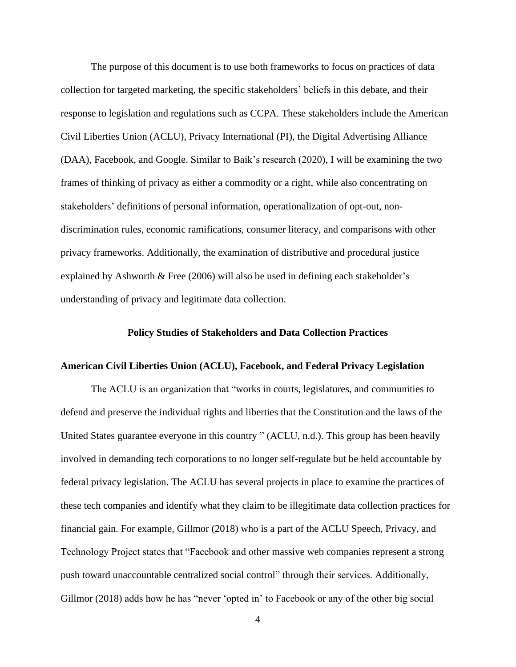The purpose of this document is to use both frameworks to focus on practices of data collection for targeted marketing, the specific stakeholders' beliefs in this debate, and their response to legislation and regulations such as CCPA. These stakeholders include the American Civil Liberties Union (ACLU), Privacy International (PI), the Digital Advertising Alliance (DAA), Facebook, and Google. Similar to Baik's research (2020), I will be examining the two frames of thinking of privacy as either a commodity or a right, while also concentrating on stakeholders' definitions of personal information, operationalization of opt-out, nondiscrimination rules, economic ramifications, consumer literacy, and comparisons with other privacy frameworks. Additionally, the examination of distributive and procedural justice explained by Ashworth & Free (2006) will also be used in defining each stakeholder's understanding of privacy and legitimate data collection.

### **Policy Studies of Stakeholders and Data Collection Practices**

# **American Civil Liberties Union (ACLU), Facebook, and Federal Privacy Legislation**

The ACLU is an organization that "works in courts, legislatures, and communities to defend and preserve the individual rights and liberties that the Constitution and the laws of the United States guarantee everyone in this country " (ACLU, n.d.). This group has been heavily involved in demanding tech corporations to no longer self-regulate but be held accountable by federal privacy legislation. The ACLU has several projects in place to examine the practices of these tech companies and identify what they claim to be illegitimate data collection practices for financial gain. For example, Gillmor (2018) who is a part of the ACLU Speech, Privacy, and Technology Project states that "Facebook and other massive web companies represent a strong push toward unaccountable centralized social control" through their services. Additionally, Gillmor (2018) adds how he has "never 'opted in' to Facebook or any of the other big social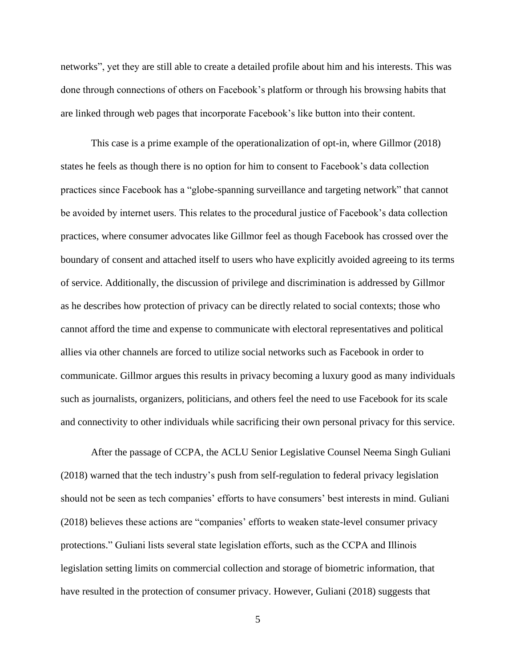networks", yet they are still able to create a detailed profile about him and his interests. This was done through connections of others on Facebook's platform or through his browsing habits that are linked through web pages that incorporate Facebook's like button into their content.

This case is a prime example of the operationalization of opt-in, where Gillmor (2018) states he feels as though there is no option for him to consent to Facebook's data collection practices since Facebook has a "globe-spanning surveillance and targeting network" that cannot be avoided by internet users. This relates to the procedural justice of Facebook's data collection practices, where consumer advocates like Gillmor feel as though Facebook has crossed over the boundary of consent and attached itself to users who have explicitly avoided agreeing to its terms of service. Additionally, the discussion of privilege and discrimination is addressed by Gillmor as he describes how protection of privacy can be directly related to social contexts; those who cannot afford the time and expense to communicate with electoral representatives and political allies via other channels are forced to utilize social networks such as Facebook in order to communicate. Gillmor argues this results in privacy becoming a luxury good as many individuals such as journalists, organizers, politicians, and others feel the need to use Facebook for its scale and connectivity to other individuals while sacrificing their own personal privacy for this service.

After the passage of CCPA, the ACLU Senior Legislative Counsel Neema Singh Guliani (2018) warned that the tech industry's push from self-regulation to federal privacy legislation should not be seen as tech companies' efforts to have consumers' best interests in mind. Guliani (2018) believes these actions are "companies' efforts to weaken state-level consumer privacy protections." Guliani lists several state legislation efforts, such as the CCPA and Illinois legislation setting limits on commercial collection and storage of biometric information, that have resulted in the protection of consumer privacy. However, Guliani (2018) suggests that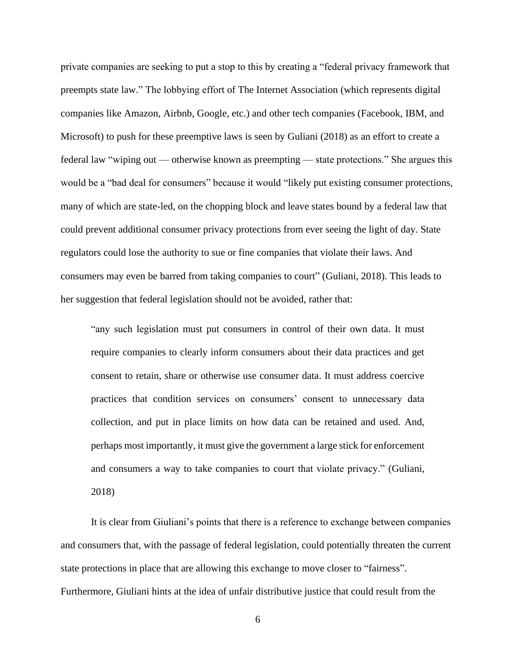private companies are seeking to put a stop to this by creating a "federal privacy framework that preempts state law." The lobbying effort of The Internet Association (which represents digital companies like Amazon, Airbnb, Google, etc.) and other tech companies (Facebook, IBM, and Microsoft) to push for these preemptive laws is seen by Guliani (2018) as an effort to create a federal law "wiping out — otherwise known as preempting — state protections." She argues this would be a "bad deal for consumers" because it would "likely put existing consumer protections, many of which are state-led, on the chopping block and leave states bound by a federal law that could prevent additional consumer privacy protections from ever seeing the light of day. State regulators could lose the authority to sue or fine companies that violate their laws. And consumers may even be barred from taking companies to court" (Guliani, 2018). This leads to her suggestion that federal legislation should not be avoided, rather that:

"any such legislation must put consumers in control of their own data. It must require companies to clearly inform consumers about their data practices and get consent to retain, share or otherwise use consumer data. It must address coercive practices that condition services on consumers' consent to unnecessary data collection, and put in place limits on how data can be retained and used. And, perhaps most importantly, it must give the government a large stick for enforcement and consumers a way to take companies to court that violate privacy." (Guliani, 2018)

It is clear from Giuliani's points that there is a reference to exchange between companies and consumers that, with the passage of federal legislation, could potentially threaten the current state protections in place that are allowing this exchange to move closer to "fairness". Furthermore, Giuliani hints at the idea of unfair distributive justice that could result from the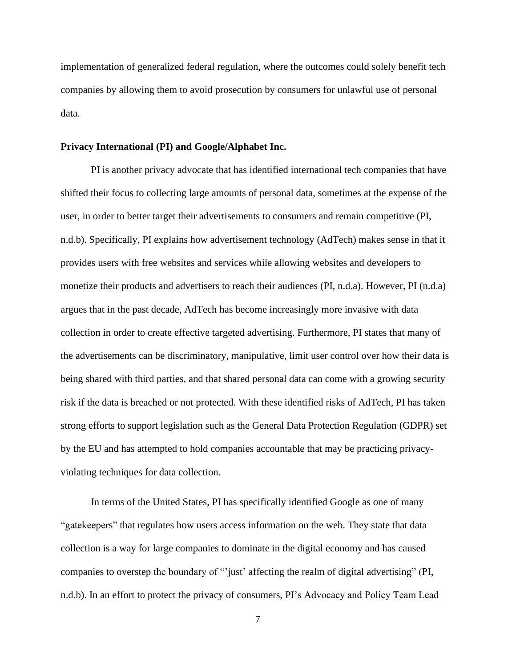implementation of generalized federal regulation, where the outcomes could solely benefit tech companies by allowing them to avoid prosecution by consumers for unlawful use of personal data.

#### **Privacy International (PI) and Google/Alphabet Inc.**

PI is another privacy advocate that has identified international tech companies that have shifted their focus to collecting large amounts of personal data, sometimes at the expense of the user, in order to better target their advertisements to consumers and remain competitive (PI, n.d.b). Specifically, PI explains how advertisement technology (AdTech) makes sense in that it provides users with free websites and services while allowing websites and developers to monetize their products and advertisers to reach their audiences (PI, n.d.a). However, PI (n.d.a) argues that in the past decade, AdTech has become increasingly more invasive with data collection in order to create effective targeted advertising. Furthermore, PI states that many of the advertisements can be discriminatory, manipulative, limit user control over how their data is being shared with third parties, and that shared personal data can come with a growing security risk if the data is breached or not protected. With these identified risks of AdTech, PI has taken strong efforts to support legislation such as the General Data Protection Regulation (GDPR) set by the EU and has attempted to hold companies accountable that may be practicing privacyviolating techniques for data collection.

In terms of the United States, PI has specifically identified Google as one of many "gatekeepers" that regulates how users access information on the web. They state that data collection is a way for large companies to dominate in the digital economy and has caused companies to overstep the boundary of "'just' affecting the realm of digital advertising" (PI, n.d.b). In an effort to protect the privacy of consumers, PI's Advocacy and Policy Team Lead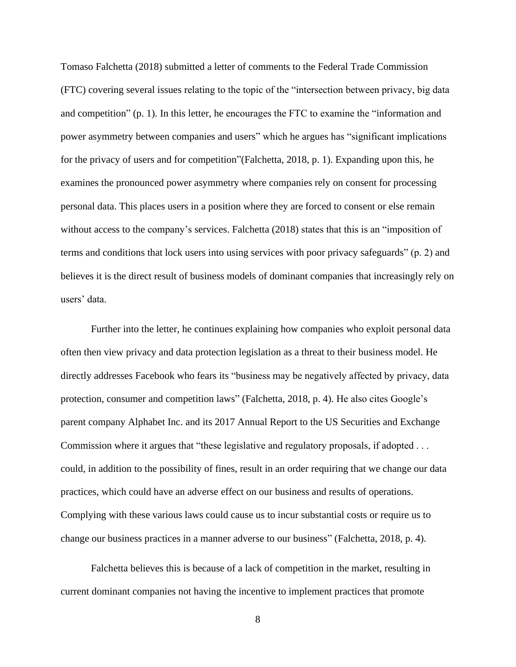Tomaso Falchetta (2018) submitted a letter of comments to the Federal Trade Commission (FTC) covering several issues relating to the topic of the "intersection between privacy, big data and competition" (p. 1). In this letter, he encourages the FTC to examine the "information and power asymmetry between companies and users" which he argues has "significant implications for the privacy of users and for competition"(Falchetta, 2018, p. 1). Expanding upon this, he examines the pronounced power asymmetry where companies rely on consent for processing personal data. This places users in a position where they are forced to consent or else remain without access to the company's services. Falchetta (2018) states that this is an "imposition of terms and conditions that lock users into using services with poor privacy safeguards" (p. 2) and believes it is the direct result of business models of dominant companies that increasingly rely on users' data.

Further into the letter, he continues explaining how companies who exploit personal data often then view privacy and data protection legislation as a threat to their business model. He directly addresses Facebook who fears its "business may be negatively affected by privacy, data protection, consumer and competition laws" (Falchetta, 2018, p. 4). He also cites Google's parent company Alphabet Inc. and its 2017 Annual Report to the US Securities and Exchange Commission where it argues that "these legislative and regulatory proposals, if adopted . . . could, in addition to the possibility of fines, result in an order requiring that we change our data practices, which could have an adverse effect on our business and results of operations. Complying with these various laws could cause us to incur substantial costs or require us to change our business practices in a manner adverse to our business" (Falchetta, 2018, p. 4).

Falchetta believes this is because of a lack of competition in the market, resulting in current dominant companies not having the incentive to implement practices that promote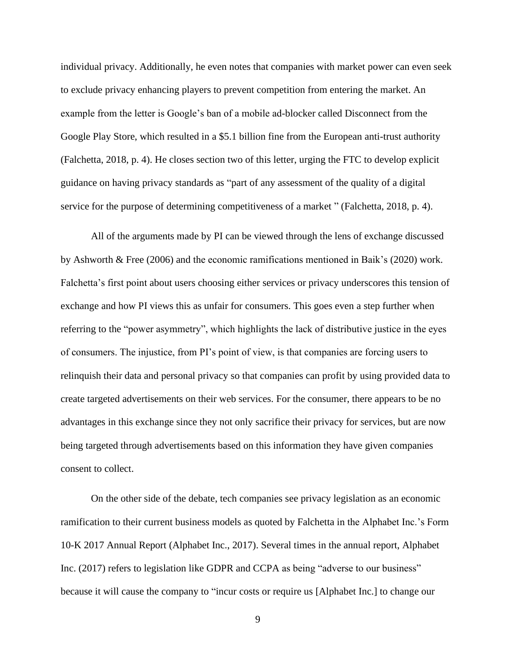individual privacy. Additionally, he even notes that companies with market power can even seek to exclude privacy enhancing players to prevent competition from entering the market. An example from the letter is Google's ban of a mobile ad-blocker called Disconnect from the Google Play Store, which resulted in a \$5.1 billion fine from the European anti-trust authority (Falchetta, 2018, p. 4). He closes section two of this letter, urging the FTC to develop explicit guidance on having privacy standards as "part of any assessment of the quality of a digital service for the purpose of determining competitiveness of a market " (Falchetta, 2018, p. 4).

All of the arguments made by PI can be viewed through the lens of exchange discussed by Ashworth & Free (2006) and the economic ramifications mentioned in Baik's (2020) work. Falchetta's first point about users choosing either services or privacy underscores this tension of exchange and how PI views this as unfair for consumers. This goes even a step further when referring to the "power asymmetry", which highlights the lack of distributive justice in the eyes of consumers. The injustice, from PI's point of view, is that companies are forcing users to relinquish their data and personal privacy so that companies can profit by using provided data to create targeted advertisements on their web services. For the consumer, there appears to be no advantages in this exchange since they not only sacrifice their privacy for services, but are now being targeted through advertisements based on this information they have given companies consent to collect.

On the other side of the debate, tech companies see privacy legislation as an economic ramification to their current business models as quoted by Falchetta in the Alphabet Inc.'s Form 10-K 2017 Annual Report (Alphabet Inc., 2017). Several times in the annual report, Alphabet Inc. (2017) refers to legislation like GDPR and CCPA as being "adverse to our business" because it will cause the company to "incur costs or require us [Alphabet Inc.] to change our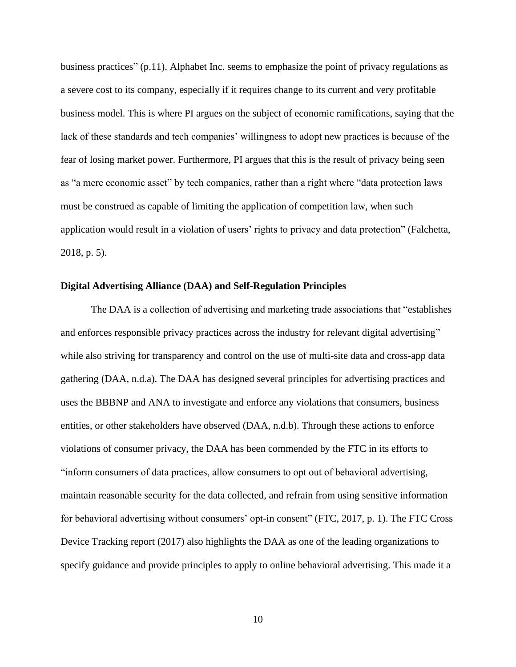business practices" (p.11). Alphabet Inc. seems to emphasize the point of privacy regulations as a severe cost to its company, especially if it requires change to its current and very profitable business model. This is where PI argues on the subject of economic ramifications, saying that the lack of these standards and tech companies' willingness to adopt new practices is because of the fear of losing market power. Furthermore, PI argues that this is the result of privacy being seen as "a mere economic asset" by tech companies, rather than a right where "data protection laws must be construed as capable of limiting the application of competition law, when such application would result in a violation of users' rights to privacy and data protection" (Falchetta, 2018, p. 5).

#### **Digital Advertising Alliance (DAA) and Self-Regulation Principles**

The DAA is a collection of advertising and marketing trade associations that "establishes and enforces responsible privacy practices across the industry for relevant digital advertising" while also striving for transparency and control on the use of multi-site data and cross-app data gathering (DAA, n.d.a). The DAA has designed several principles for advertising practices and uses the BBBNP and ANA to investigate and enforce any violations that consumers, business entities, or other stakeholders have observed (DAA, n.d.b). Through these actions to enforce violations of consumer privacy, the DAA has been commended by the FTC in its efforts to "inform consumers of data practices, allow consumers to opt out of behavioral advertising, maintain reasonable security for the data collected, and refrain from using sensitive information for behavioral advertising without consumers' opt-in consent" (FTC, 2017, p. 1). The FTC Cross Device Tracking report (2017) also highlights the DAA as one of the leading organizations to specify guidance and provide principles to apply to online behavioral advertising. This made it a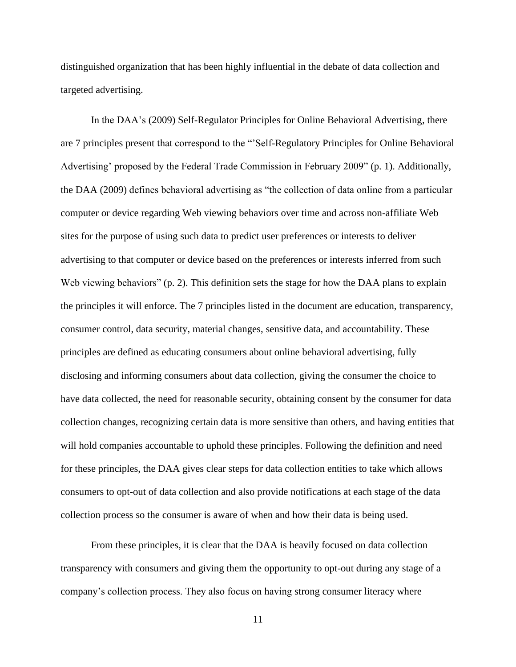distinguished organization that has been highly influential in the debate of data collection and targeted advertising.

In the DAA's (2009) Self-Regulator Principles for Online Behavioral Advertising, there are 7 principles present that correspond to the "'Self-Regulatory Principles for Online Behavioral Advertising' proposed by the Federal Trade Commission in February 2009" (p. 1). Additionally, the DAA (2009) defines behavioral advertising as "the collection of data online from a particular computer or device regarding Web viewing behaviors over time and across non-affiliate Web sites for the purpose of using such data to predict user preferences or interests to deliver advertising to that computer or device based on the preferences or interests inferred from such Web viewing behaviors" (p. 2). This definition sets the stage for how the DAA plans to explain the principles it will enforce. The 7 principles listed in the document are education, transparency, consumer control, data security, material changes, sensitive data, and accountability. These principles are defined as educating consumers about online behavioral advertising, fully disclosing and informing consumers about data collection, giving the consumer the choice to have data collected, the need for reasonable security, obtaining consent by the consumer for data collection changes, recognizing certain data is more sensitive than others, and having entities that will hold companies accountable to uphold these principles. Following the definition and need for these principles, the DAA gives clear steps for data collection entities to take which allows consumers to opt-out of data collection and also provide notifications at each stage of the data collection process so the consumer is aware of when and how their data is being used.

From these principles, it is clear that the DAA is heavily focused on data collection transparency with consumers and giving them the opportunity to opt-out during any stage of a company's collection process. They also focus on having strong consumer literacy where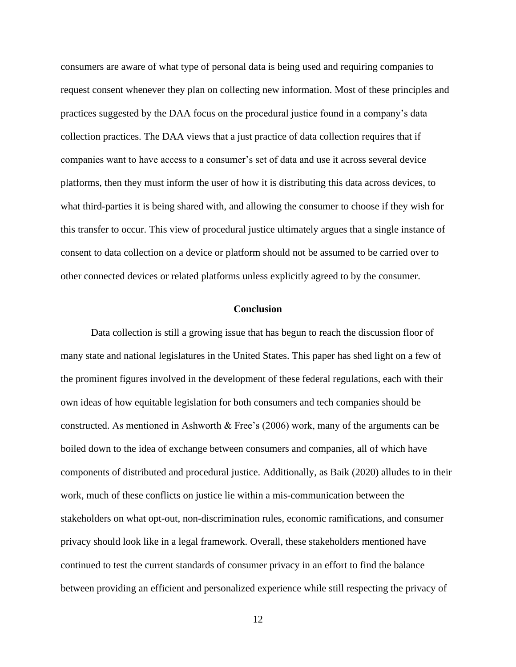consumers are aware of what type of personal data is being used and requiring companies to request consent whenever they plan on collecting new information. Most of these principles and practices suggested by the DAA focus on the procedural justice found in a company's data collection practices. The DAA views that a just practice of data collection requires that if companies want to have access to a consumer's set of data and use it across several device platforms, then they must inform the user of how it is distributing this data across devices, to what third-parties it is being shared with, and allowing the consumer to choose if they wish for this transfer to occur. This view of procedural justice ultimately argues that a single instance of consent to data collection on a device or platform should not be assumed to be carried over to other connected devices or related platforms unless explicitly agreed to by the consumer.

# **Conclusion**

Data collection is still a growing issue that has begun to reach the discussion floor of many state and national legislatures in the United States. This paper has shed light on a few of the prominent figures involved in the development of these federal regulations, each with their own ideas of how equitable legislation for both consumers and tech companies should be constructed. As mentioned in Ashworth & Free's (2006) work, many of the arguments can be boiled down to the idea of exchange between consumers and companies, all of which have components of distributed and procedural justice. Additionally, as Baik (2020) alludes to in their work, much of these conflicts on justice lie within a mis-communication between the stakeholders on what opt-out, non-discrimination rules, economic ramifications, and consumer privacy should look like in a legal framework. Overall, these stakeholders mentioned have continued to test the current standards of consumer privacy in an effort to find the balance between providing an efficient and personalized experience while still respecting the privacy of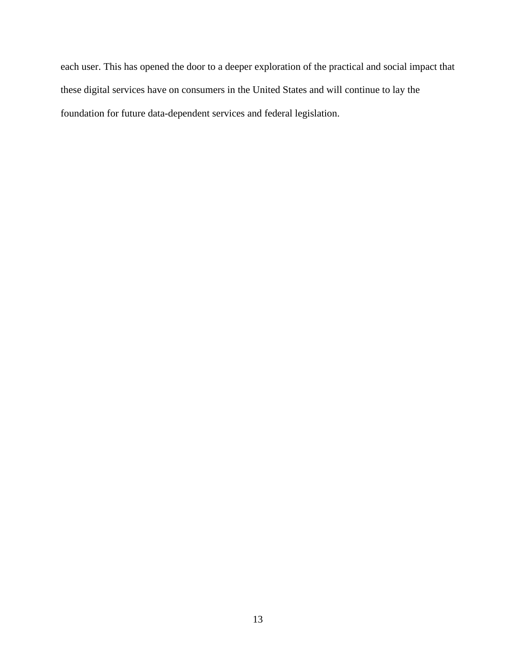each user. This has opened the door to a deeper exploration of the practical and social impact that these digital services have on consumers in the United States and will continue to lay the foundation for future data-dependent services and federal legislation.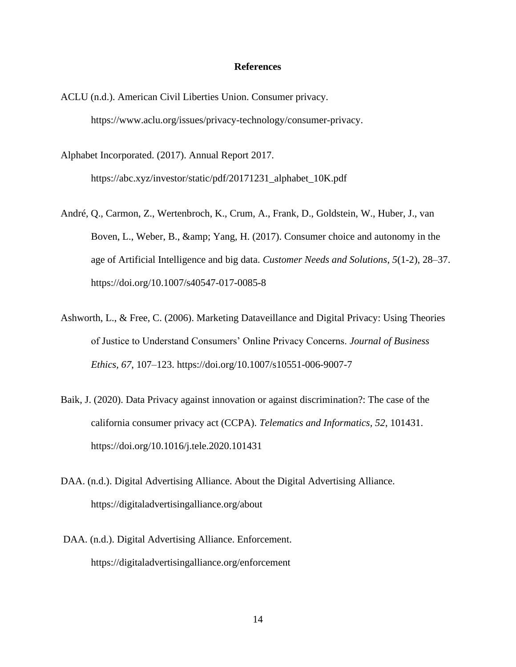## **References**

ACLU (n.d.). American Civil Liberties Union. Consumer privacy. https://www.aclu.org/issues/privacy-technology/consumer-privacy.

Alphabet Incorporated. (2017). Annual Report 2017. https://abc.xyz/investor/static/pdf/20171231\_alphabet\_10K.pdf

- André, Q., Carmon, Z., Wertenbroch, K., Crum, A., Frank, D., Goldstein, W., Huber, J., van Boven, L., Weber, B., & amp; Yang, H. (2017). Consumer choice and autonomy in the age of Artificial Intelligence and big data. *Customer Needs and Solutions*, *5*(1-2), 28–37. https://doi.org/10.1007/s40547-017-0085-8
- Ashworth, L., & Free, C. (2006). Marketing Dataveillance and Digital Privacy: Using Theories of Justice to Understand Consumers' Online Privacy Concerns. *Journal of Business Ethics, 67*, 107–123.<https://doi.org/10.1007/s10551-006-9007-7>
- Baik, J. (2020). Data Privacy against innovation or against discrimination?: The case of the california consumer privacy act (CCPA). *Telematics and Informatics, 52*, 101431. https://doi.org/10.1016/j.tele.2020.101431
- DAA. (n.d.). Digital Advertising Alliance. About the Digital Advertising Alliance. https://digitaladvertisingalliance.org/about
- DAA. (n.d.). Digital Advertising Alliance. Enforcement. <https://digitaladvertisingalliance.org/enforcement>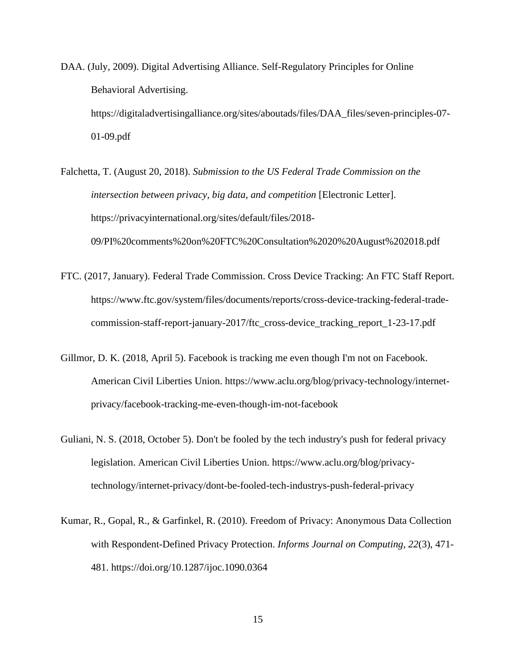- DAA. (July, 2009). Digital Advertising Alliance. Self-Regulatory Principles for Online Behavioral Advertising. https://digitaladvertisingalliance.org/sites/aboutads/files/DAA\_files/seven-principles-07- 01-09.pdf
- Falchetta, T. (August 20, 2018). *Submission to the US Federal Trade Commission on the intersection between privacy, big data, and competition* [Electronic Letter]. https://privacyinternational.org/sites/default/files/2018- 09/PI%20comments%20on%20FTC%20Consultation%2020%20August%202018.pdf
- FTC. (2017, January). Federal Trade Commission. Cross Device Tracking: An FTC Staff Report. https://www.ftc.gov/system/files/documents/reports/cross-device-tracking-federal-tradecommission-staff-report-january-2017/ftc\_cross-device\_tracking\_report\_1-23-17.pdf
- Gillmor, D. K. (2018, April 5). Facebook is tracking me even though I'm not on Facebook. American Civil Liberties Union. [https://www.aclu.org/blog/privacy-technology/internet](https://www.aclu.org/blog/privacy-technology/internet-privacy/facebook-tracking-me-even-though-im-not-facebook)[privacy/facebook-tracking-me-even-though-im-not-facebook](https://www.aclu.org/blog/privacy-technology/internet-privacy/facebook-tracking-me-even-though-im-not-facebook)
- Guliani, N. S. (2018, October 5). Don't be fooled by the tech industry's push for federal privacy legislation. American Civil Liberties Union. [https://www.aclu.org/blog/privacy](https://www.aclu.org/blog/privacy-technology/internet-privacy/dont-be-fooled-tech-industrys-push-federal-privacy)[technology/internet-privacy/dont-be-fooled-tech-industrys-push-federal-privacy](https://www.aclu.org/blog/privacy-technology/internet-privacy/dont-be-fooled-tech-industrys-push-federal-privacy)
- Kumar, R., Gopal, R., & Garfinkel, R. (2010). Freedom of Privacy: Anonymous Data Collection with Respondent-Defined Privacy Protection. *Informs Journal on Computing, 22*(3), 471- 481.<https://doi.org/10.1287/ijoc.1090.0364>